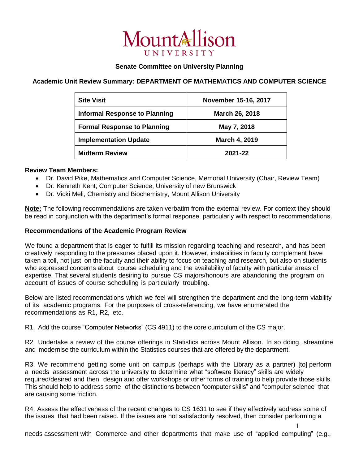

## **Senate Committee on University Planning**

## **Academic Unit Review Summary: DEPARTMENT OF MATHEMATICS AND COMPUTER SCIENCE**

| <b>Site Visit</b>                    | November 15-16, 2017  |
|--------------------------------------|-----------------------|
| <b>Informal Response to Planning</b> | <b>March 26, 2018</b> |
| <b>Formal Response to Planning</b>   | May 7, 2018           |
| <b>Implementation Update</b>         | March 4, 2019         |
| <b>Midterm Review</b>                | 2021-22               |

## **Review Team Members:**

- Dr. David Pike, Mathematics and Computer Science, Memorial University (Chair, Review Team)
- Dr. Kenneth Kent, Computer Science, University of new Brunswick
- Dr. Vicki Meli, Chemistry and Biochemistry, Mount Allison University

**Note:** The following recommendations are taken verbatim from the external review. For context they should be read in conjunction with the department's formal response, particularly with respect to recommendations.

## **Recommendations of the Academic Program Review**

We found a department that is eager to fulfill its mission regarding teaching and research, and has been creatively responding to the pressures placed upon it. However, instabilities in faculty complement have taken a toll, not just on the faculty and their ability to focus on teaching and research, but also on students who expressed concerns about course scheduling and the availability of faculty with particular areas of expertise. That several students desiring to pursue CS majors/honours are abandoning the program on account of issues of course scheduling is particularly troubling.

Below are listed recommendations which we feel will strengthen the department and the long-term viability of its academic programs. For the purposes of cross-referencing, we have enumerated the recommendations as R1, R2, etc.

R1. Add the course "Computer Networks" (CS 4911) to the core curriculum of the CS major.

R2. Undertake a review of the course offerings in Statistics across Mount Allison. In so doing, streamline and modernise the curriculum within the Statistics courses that are offered by the department.

R3. We recommend getting some unit on campus (perhaps with the Library as a partner) [to] perform a needs assessment across the university to determine what "software literacy" skills are widely required/desired and then design and offer workshops or other forms of training to help provide those skills. This should help to address some of the distinctions between "computer skills" and "computer science" that are causing some friction.

R4. Assess the effectiveness of the recent changes to CS 1631 to see if they effectively address some of the issues that had been raised. If the issues are not satisfactorily resolved, then consider performing a

1 needs assessment with Commerce and other departments that make use of "applied computing" (e.g.,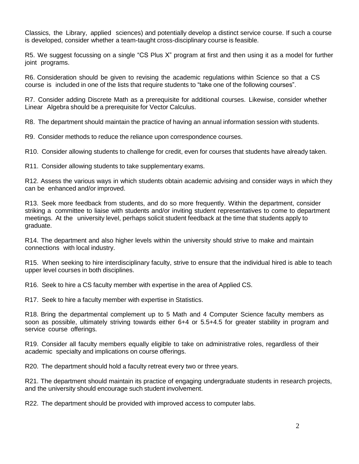Classics, the Library, applied sciences) and potentially develop a distinct service course. If such a course is developed, consider whether a team-taught cross-disciplinary course is feasible.

R5. We suggest focussing on a single "CS Plus X" program at first and then using it as a model for further joint programs.

R6. Consideration should be given to revising the academic regulations within Science so that a CS course is included in one of the lists that require students to "take one of the following courses".

R7. Consider adding Discrete Math as a prerequisite for additional courses. Likewise, consider whether Linear Algebra should be a prerequisite for Vector Calculus.

R8. The department should maintain the practice of having an annual information session with students.

R9. Consider methods to reduce the reliance upon correspondence courses.

R10. Consider allowing students to challenge for credit, even for courses that students have already taken.

R11. Consider allowing students to take supplementary exams.

R12. Assess the various ways in which students obtain academic advising and consider ways in which they can be enhanced and/or improved.

R13. Seek more feedback from students, and do so more frequently. Within the department, consider striking a committee to liaise with students and/or inviting student representatives to come to department meetings. At the university level, perhaps solicit student feedback at the time that students apply to graduate.

R14. The department and also higher levels within the university should strive to make and maintain connections with local industry.

R15. When seeking to hire interdisciplinary faculty, strive to ensure that the individual hired is able to teach upper level courses in both disciplines.

R16. Seek to hire a CS faculty member with expertise in the area of Applied CS.

R17. Seek to hire a faculty member with expertise in Statistics.

R18. Bring the departmental complement up to 5 Math and 4 Computer Science faculty members as soon as possible, ultimately striving towards either 6+4 or 5.5+4.5 for greater stability in program and service course offerings.

R19. Consider all faculty members equally eligible to take on administrative roles, regardless of their academic specialty and implications on course offerings.

R20. The department should hold a faculty retreat every two or three years.

R21. The department should maintain its practice of engaging undergraduate students in research projects, and the university should encourage such student involvement.

R22. The department should be provided with improved access to computer labs.